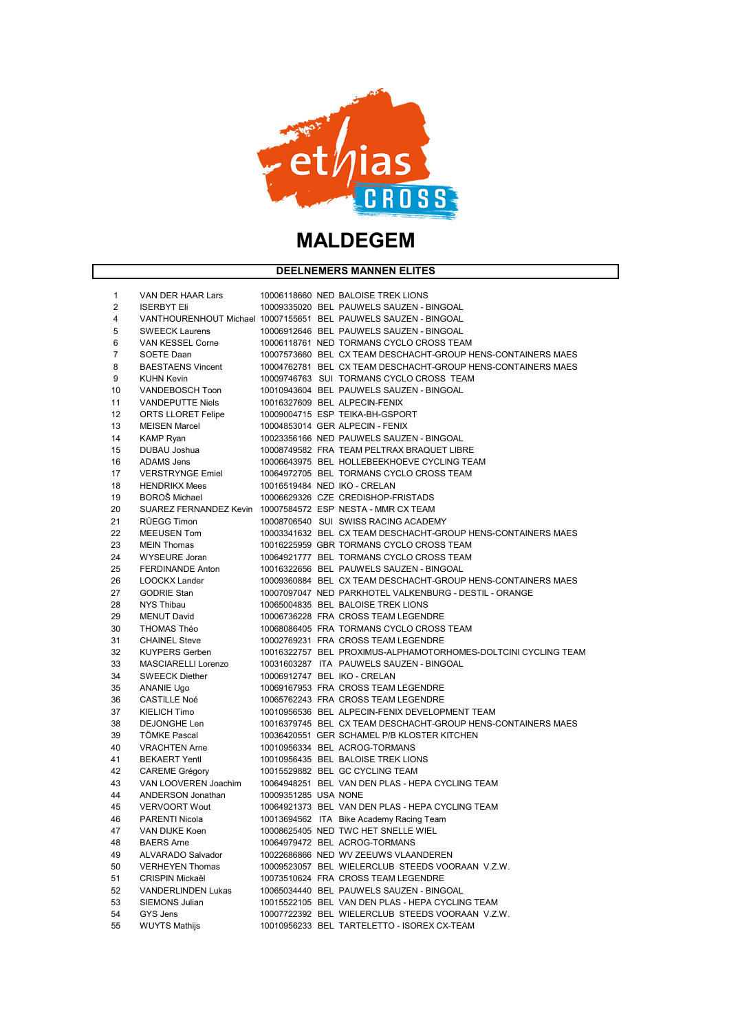

# **MALDEGEM**

### **DEELNEMERS MANNEN ELITES**

| 1        | VAN DER HAAR Lars                                          |                      | 10006118660 NED BALOISE TREK LIONS                                                                   |
|----------|------------------------------------------------------------|----------------------|------------------------------------------------------------------------------------------------------|
| 2        | <b>ISERBYT Eli</b>                                         |                      | 10009335020 BEL PAUWELS SAUZEN - BINGOAL                                                             |
| 4        |                                                            |                      | VANTHOURENHOUT Michael 10007155651 BEL PAUWELS SAUZEN - BINGOAL                                      |
| 5        | <b>SWEECK Laurens</b>                                      |                      | 10006912646 BEL PAUWELS SAUZEN - BINGOAL                                                             |
| 6        | <b>VAN KESSEL Corne</b>                                    |                      | 10006118761 NED TORMANS CYCLO CROSS TEAM                                                             |
| 7        | SOETE Daan                                                 |                      | 10007573660 BEL CX TEAM DESCHACHT-GROUP HENS-CONTAINERS MAES                                         |
| 8        | <b>BAESTAENS Vincent</b>                                   |                      | 10004762781 BEL CX TEAM DESCHACHT-GROUP HENS-CONTAINERS MAES                                         |
| 9        | <b>KUHN Kevin</b>                                          |                      | 10009746763 SUI TORMANS CYCLO CROSS TEAM                                                             |
| 10       | <b>VANDEBOSCH Toon</b>                                     |                      | 10010943604 BEL PAUWELS SAUZEN - BINGOAL                                                             |
| 11       | <b>VANDEPUTTE Niels</b>                                    |                      | 10016327609 BEL ALPECIN-FENIX                                                                        |
| 12       | <b>ORTS LLORET Felipe</b>                                  |                      | 10009004715 ESP TEIKA-BH-GSPORT                                                                      |
| 13       | <b>MEISEN Marcel</b>                                       |                      | 10004853014 GER ALPECIN - FENIX                                                                      |
| 14       | <b>KAMP Ryan</b>                                           |                      | 10023356166 NED PAUWELS SAUZEN - BINGOAL                                                             |
| 15       | DUBAU Joshua                                               |                      | 10008749582 FRA TEAM PELTRAX BRAQUET LIBRE                                                           |
| 16       | <b>ADAMS Jens</b>                                          |                      | 10006643975 BEL HOLLEBEEKHOEVE CYCLING TEAM                                                          |
| 17       | <b>VERSTRYNGE Emiel</b>                                    |                      | 10064972705 BEL TORMANS CYCLO CROSS TEAM                                                             |
| 18       | <b>HENDRIKX Mees</b>                                       |                      | 10016519484 NED IKO - CRELAN                                                                         |
| 19       | <b>BOROŠ Michael</b>                                       |                      | 10006629326 CZE CREDISHOP-FRISTADS                                                                   |
| 20       | SUAREZ FERNANDEZ Kevin 10007584572 ESP NESTA - MMR CX TEAM |                      |                                                                                                      |
| 21       | RÜEGG Timon                                                |                      | 10008706540 SUI SWISS RACING ACADEMY                                                                 |
| 22       | <b>MEEUSEN Tom</b>                                         |                      | 10003341632 BEL CX TEAM DESCHACHT-GROUP HENS-CONTAINERS MAES                                         |
| 23       | <b>MEIN Thomas</b>                                         |                      | 10016225959 GBR TORMANS CYCLO CROSS TEAM                                                             |
| 24       | <b>WYSEURE Joran</b>                                       |                      | 10064921777 BEL TORMANS CYCLO CROSS TEAM                                                             |
| 25       | <b>FERDINANDE Anton</b>                                    |                      | 10016322656 BEL PAUWELS SAUZEN - BINGOAL                                                             |
| 26       | <b>LOOCKX Lander</b>                                       |                      | 10009360884 BEL CX TEAM DESCHACHT-GROUP HENS-CONTAINERS MAES                                         |
| 27       | <b>GODRIE Stan</b>                                         |                      | 10007097047 NED PARKHOTEL VALKENBURG - DESTIL - ORANGE                                               |
| 28       | <b>NYS Thibau</b>                                          |                      | 10065004835 BEL BALOISE TREK LIONS                                                                   |
| 29       | <b>MENUT David</b>                                         |                      | 10006736228 FRA CROSS TEAM LEGENDRE                                                                  |
| 30       | THOMAS Théo                                                |                      | 10068086405 FRA TORMANS CYCLO CROSS TEAM                                                             |
| 31       | <b>CHAINEL Steve</b>                                       |                      | 10002769231 FRA CROSS TEAM LEGENDRE                                                                  |
| 32       | <b>KUYPERS Gerben</b>                                      |                      | 10016322757 BEL PROXIMUS-ALPHAMOTORHOMES-DOLTCINI CYCLING TEAM                                       |
| 33       | <b>MASCIARELLI Lorenzo</b>                                 |                      | 10031603287 ITA PAUWELS SAUZEN - BINGOAL                                                             |
| 34       | <b>SWEECK Diether</b>                                      |                      | 10006912747 BEL IKO - CRELAN                                                                         |
| 35       | <b>ANANIE Ugo</b>                                          |                      | 10069167953 FRA CROSS TEAM LEGENDRE                                                                  |
| 36       | <b>CASTILLE Noé</b>                                        |                      | 10065762243 FRA CROSS TEAM LEGENDRE                                                                  |
| 37       | <b>KIELICH Timo</b>                                        |                      | 10010956536 BEL ALPECIN-FENIX DEVELOPMENT TEAM                                                       |
| 38       | <b>DEJONGHE Len</b>                                        |                      | 10016379745 BEL CX TEAM DESCHACHT-GROUP HENS-CONTAINERS MAES                                         |
| 39       | <b>TÖMKE Pascal</b>                                        |                      | 10036420551 GER SCHAMEL P/B KLOSTER KITCHEN                                                          |
| 40       | <b>VRACHTEN Arne</b>                                       |                      | 10010956334 BEL ACROG-TORMANS                                                                        |
| 41       | <b>BEKAERT Yentl</b>                                       |                      | 10010956435 BEL BALOISE TREK LIONS                                                                   |
| 42       | <b>CAREME Grégory</b>                                      |                      | 10015529882 BEL GC CYCLING TEAM                                                                      |
| 43       | VAN LOOVEREN Joachim                                       |                      | 10064948251 BEL VAN DEN PLAS - HEPA CYCLING TEAM                                                     |
| 44       | <b>ANDERSON Jonathan</b>                                   | 10009351285 USA NONE |                                                                                                      |
| 45       | VERVOORT Wout                                              |                      | 10064921373 BEL VAN DEN PLAS - HEPA CYCLING TEAM                                                     |
| 46       | <b>PARENTI Nicola</b>                                      |                      | 10013694562 ITA Bike Academy Racing Team                                                             |
| 47       | VAN DIJKE Koen                                             |                      | 10008625405 NED TWC HET SNELLE WIEL                                                                  |
| 48       | <b>BAERS</b> Arne                                          |                      | 10064979472 BEL ACROG-TORMANS                                                                        |
| 49       | <b>ALVARADO Salvador</b>                                   |                      | 10022686866 NED WV ZEEUWS VLAANDEREN                                                                 |
|          |                                                            |                      |                                                                                                      |
| 50<br>51 | <b>VERHEYEN Thomas</b><br><b>CRISPIN Mickaël</b>           |                      | 10009523057 BEL WIELERCLUB STEEDS VOORAAN V.Z.W.<br>10073510624 FRA CROSS TEAM LEGENDRE              |
|          |                                                            |                      |                                                                                                      |
| 52       | <b>VANDERLINDEN Lukas</b>                                  |                      | 10065034440 BEL PAUWELS SAUZEN - BINGOAL                                                             |
| 53       | <b>SIEMONS Julian</b><br>GYS Jens                          |                      | 10015522105 BEL VAN DEN PLAS - HEPA CYCLING TEAM<br>10007722392 BEL WIELERCLUB STEEDS VOORAAN V.Z.W. |
| 54<br>55 |                                                            |                      | 10010956233 BEL TARTELETTO - ISOREX CX-TEAM                                                          |
|          | <b>WUYTS Mathijs</b>                                       |                      |                                                                                                      |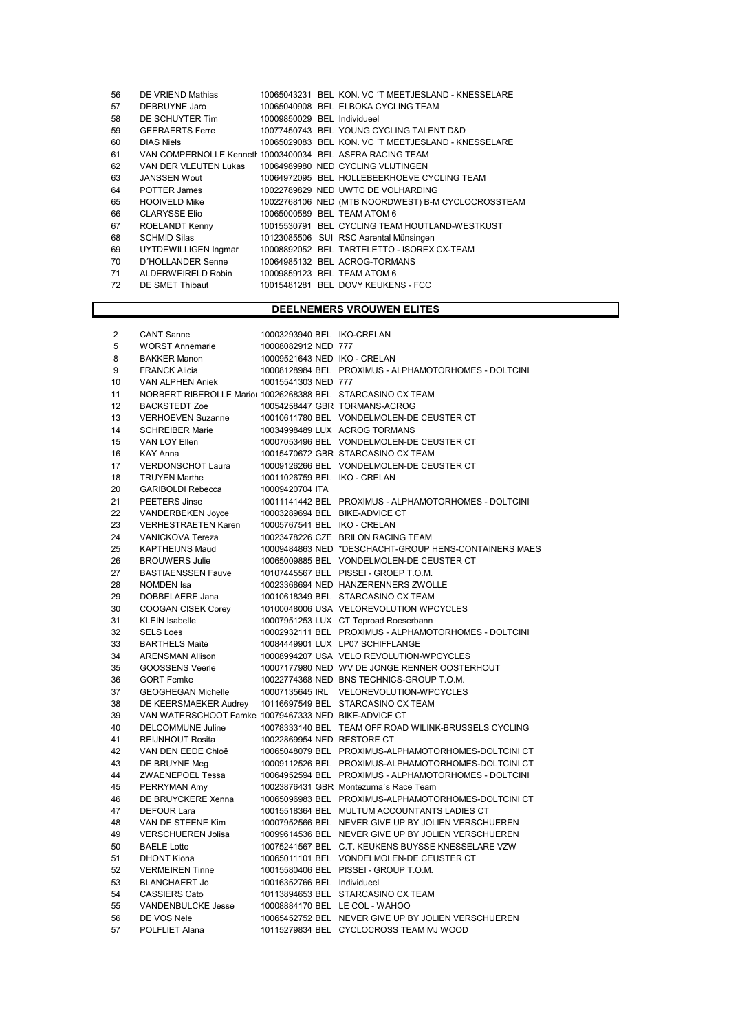| 56 | DE VRIEND Mathias                                         |                             | 10065043231 BEL KON. VC 'T MEETJESLAND - KNESSELARE |
|----|-----------------------------------------------------------|-----------------------------|-----------------------------------------------------|
| 57 | DEBRUYNE Jaro                                             |                             | 10065040908 BEL ELBOKA CYCLING TEAM                 |
| 58 | DE SCHUYTER Tim                                           | 10009850029 BEL Individueel |                                                     |
| 59 | <b>GEERAERTS Ferre</b>                                    |                             | 10077450743 BEL YOUNG CYCLING TALENT D&D            |
| 60 | <b>DIAS Niels</b>                                         |                             | 10065029083 BEL KON. VC 'T MEETJESLAND - KNESSELARE |
| 61 | VAN COMPERNOLLE Kennetr 10003400034 BEL ASFRA RACING TEAM |                             |                                                     |
| 62 | VAN DER VLEUTEN Lukas                                     |                             | 10064989980 NED CYCLING VLIJTINGEN                  |
| 63 | <b>JANSSEN Wout</b>                                       |                             | 10064972095 BEL HOLLEBEEKHOEVE CYCLING TEAM         |
| 64 | <b>POTTER James</b>                                       |                             | 10022789829 NED UWTC DE VOLHARDING                  |
| 65 | <b>HOOIVELD Mike</b>                                      |                             | 10022768106 NED (MTB NOORDWEST) B-M CYCLOCROSSTEAM  |
| 66 | <b>CLARYSSE Elio</b>                                      |                             | 10065000589 BEL TEAM ATOM 6                         |
| 67 | ROELANDT Kenny                                            |                             | 10015530791 BEL CYCLING TEAM HOUTLAND-WESTKUST      |
| 68 | <b>SCHMID Silas</b>                                       |                             | 10123085506 SUI RSC Aarental Münsingen              |
| 69 | UYTDEWILLIGEN Ingmar                                      |                             | 10008892052 BEL TARTELETTO - ISOREX CX-TEAM         |
| 70 | D'HOLLANDER Senne                                         |                             | 10064985132 BEL ACROG-TORMANS                       |
| 71 | ALDERWEIRELD Robin                                        |                             | 10009859123 BEL TEAM ATOM 6                         |
| 72 | DE SMET Thibaut                                           |                             | 10015481281 BEL DOVY KEUKENS - FCC                  |
|    |                                                           |                             |                                                     |

## DEELNEMERS VROUWEN ELITES

| $\overline{2}$ | <b>CANT Sanne</b>                                           | 10003293940 BEL IKO-CRELAN     |                                                       |
|----------------|-------------------------------------------------------------|--------------------------------|-------------------------------------------------------|
| 5              | <b>WORST Annemarie</b>                                      | 10008082912 NED 777            |                                                       |
| 8              | <b>BAKKER Manon</b>                                         | 10009521643 NED IKO - CRELAN   |                                                       |
| 9              | <b>FRANCK Alicia</b>                                        |                                | 10008128984 BEL PROXIMUS - ALPHAMOTORHOMES - DOLTCINI |
| 10             | VAN ALPHEN Aniek                                            | 10015541303 NED 777            |                                                       |
| 11             | NORBERT RIBEROLLE Marior 10026268388 BEL STARCASINO CX TEAM |                                |                                                       |
| 12             | <b>BACKSTEDT Zoe</b>                                        |                                | 10054258447 GBR TORMANS-ACROG                         |
| 13             | <b>VERHOEVEN Suzanne</b>                                    |                                | 10010611780 BEL VONDELMOLEN-DE CEUSTER CT             |
| 14             | <b>SCHREIBER Marie</b>                                      |                                | 10034998489 LUX ACROG TORMANS                         |
| 15             | VAN LOY Ellen                                               |                                | 10007053496 BEL VONDELMOLEN-DE CEUSTER CT             |
| 16             | KAY Anna                                                    |                                | 10015470672 GBR STARCASINO CX TEAM                    |
| 17             | <b>VERDONSCHOT Laura</b>                                    |                                | 10009126266 BEL VONDELMOLEN-DE CEUSTER CT             |
| 18             | <b>TRUYEN Marthe</b>                                        | 10011026759 BEL IKO - CRELAN   |                                                       |
| 20             | <b>GARIBOLDI Rebecca</b>                                    | 10009420704 ITA                |                                                       |
| 21             | PEETERS Jinse                                               |                                | 10011141442 BEL PROXIMUS - ALPHAMOTORHOMES - DOLTCINI |
| 22             | VANDERBEKEN Joyce                                           | 10003289694 BEL BIKE-ADVICE CT |                                                       |
| 23             | VERHESTRAETEN Karen                                         | 10005767541 BEL IKO - CRELAN   |                                                       |
| 24             | <b>VANICKOVA Tereza</b>                                     |                                | 10023478226 CZE BRILON RACING TEAM                    |
| 25             | <b>KAPTHEIJNS Maud</b>                                      |                                | 10009484863 NED *DESCHACHT-GROUP HENS-CONTAINERS MAES |
| 26             | <b>BROUWERS Julie</b>                                       |                                | 10065009885 BEL VONDELMOLEN-DE CEUSTER CT             |
| 27             | <b>BASTIAENSSEN Fauve</b>                                   |                                | 10107445567 BEL PISSEI - GROEP T.O.M.                 |
| 28             | <b>NOMDEN</b> Isa                                           |                                | 10023368694 NED HANZERENNERS ZWOLLE                   |
| 29             | DOBBELAERE Jana                                             |                                | 10010618349 BEL STARCASINO CX TEAM                    |
| 30             | COOGAN CISEK Corey                                          |                                | 10100048006 USA VELOREVOLUTION WPCYCLES               |
| 31             | <b>KLEIN Isabelle</b>                                       |                                | 10007951253 LUX CT Toproad Roeserbann                 |
| 32             | <b>SELS Loes</b>                                            |                                | 10002932111 BEL PROXIMUS - ALPHAMOTORHOMES - DOLTCINI |
| 33             | <b>BARTHELS Maïté</b>                                       |                                | 10084449901 LUX LP07 SCHIFFLANGE                      |
| 34             | <b>ARENSMAN Allison</b>                                     |                                | 10008994207 USA VELO REVOLUTION-WPCYCLES              |
| 35             | <b>GOOSSENS Veerle</b>                                      |                                | 10007177980 NED WV DE JONGE RENNER OOSTERHOUT         |
| 36             | <b>GORT Femke</b>                                           |                                | 10022774368 NED BNS TECHNICS-GROUP T.O.M.             |
| 37             | <b>GEOGHEGAN Michelle</b>                                   |                                | 10007135645 IRL VELOREVOLUTION-WPCYCLES               |
| 38             | DE KEERSMAEKER Audrey                                       |                                | 10116697549 BEL STARCASINO CX TEAM                    |
| 39             | VAN WATERSCHOOT Famke 10079467333 NED BIKE-ADVICE CT        |                                |                                                       |
| 40             | DELCOMMUNE Juline                                           |                                | 10078333140 BEL TEAM OFF ROAD WILINK-BRUSSELS CYCLING |
| 41             | <b>REIJNHOUT Rosita</b>                                     | 10022869954 NED RESTORE CT     |                                                       |
| 42             | VAN DEN EEDE Chloë                                          |                                | 10065048079 BEL PROXIMUS-ALPHAMOTORHOMES-DOLTCINI CT  |
| 43             | DE BRUYNE Meg                                               |                                | 10009112526 BEL PROXIMUS-ALPHAMOTORHOMES-DOLTCINI CT  |
| 44             | ZWAENEPOEL Tessa                                            |                                | 10064952594 BEL PROXIMUS - ALPHAMOTORHOMES - DOLTCINI |
| 45             | PERRYMAN Amy                                                |                                | 10023876431 GBR Montezuma's Race Team                 |
| 46             | DE BRUYCKERE Xenna                                          |                                | 10065096983 BEL PROXIMUS-ALPHAMOTORHOMES-DOLTCINI CT  |
| 47             | <b>DEFOUR Lara</b>                                          |                                | 10015518364 BEL MULTUM ACCOUNTANTS LADIES CT          |
| 48             | VAN DE STEENE Kim                                           |                                | 10007952566 BEL NEVER GIVE UP BY JOLIEN VERSCHUEREN   |
| 49             | <b>VERSCHUEREN Jolisa</b>                                   |                                | 10099614536 BEL NEVER GIVE UP BY JOLIEN VERSCHUEREN   |
| 50             | <b>BAELE Lotte</b>                                          |                                | 10075241567 BEL C.T. KEUKENS BUYSSE KNESSELARE VZW    |
| 51             | <b>DHONT Kiona</b>                                          |                                | 10065011101 BEL VONDELMOLEN-DE CEUSTER CT             |
| 52             | <b>VERMEIREN Tinne</b>                                      |                                | 10015580406 BEL PISSEI - GROUP T.O.M.                 |
| 53             | <b>BLANCHAERT Jo</b>                                        | 10016352766 BEL Individueel    |                                                       |
| 54             | <b>CASSIERS Cato</b>                                        |                                | 10113894653 BEL STARCASINO CX TEAM                    |
| 55             | <b>VANDENBULCKE Jesse</b>                                   |                                | 10008884170 BEL LE COL - WAHOO                        |
| 56             | DE VOS Nele                                                 |                                | 10065452752 BEL NEVER GIVE UP BY JOLIEN VERSCHUEREN   |
| 57             | POLFLIET Alana                                              |                                | 10115279834 BEL CYCLOCROSS TEAM MJ WOOD               |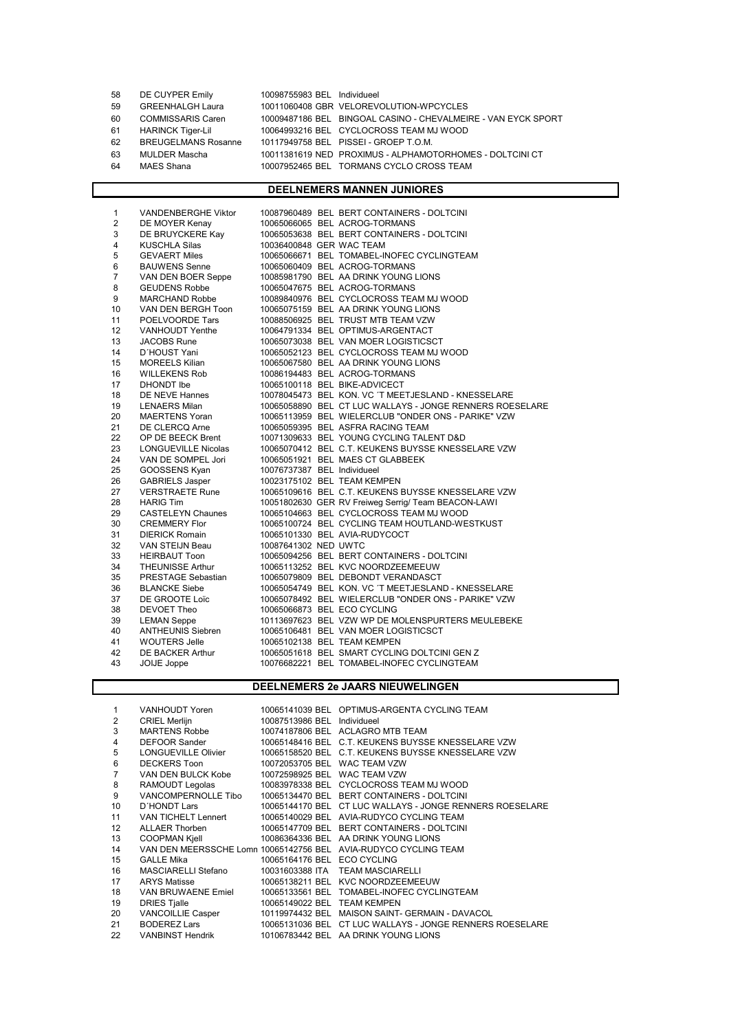| 58  | DE CUYPER Emily            | 10098755983 BEL Individueel |                                                               |
|-----|----------------------------|-----------------------------|---------------------------------------------------------------|
| -59 | <b>GREENHALGH Laura</b>    |                             | 10011060408 GBR VELOREVOLUTION-WPCYCLES                       |
| 60  | <b>COMMISSARIS Caren</b>   |                             | 10009487186 BEL BINGOAL CASINO - CHEVALMEIRE - VAN EYCK SPORT |
| -61 | <b>HARINCK Tiger-Lil</b>   |                             | 10064993216 BEL CYCLOCROSS TEAM MJ WOOD                       |
| 62  | <b>BREUGELMANS Rosanne</b> |                             | 10117949758 BEL PISSEI - GROEP T.O.M.                         |
| 63  | <b>MULDER Mascha</b>       |                             | 10011381619 NED PROXIMUS - ALPHAMOTORHOMES - DOLTCINI CT      |
| 64  | MAES Shana                 |                             | 10007952465 BEL TORMANS CYCLO CROSS TEAM                      |
|     |                            |                             |                                                               |

#### DEELNEMERS MANNEN JUNIORES

| 1              | <b>VANDENBERGHE Viktor</b> |                             | 10087960489 BEL BERT CONTAINERS - DOLTCINI               |
|----------------|----------------------------|-----------------------------|----------------------------------------------------------|
| $\overline{2}$ | DE MOYER Kenay             |                             | 10065066065 BEL ACROG-TORMANS                            |
| 3              | DE BRUYCKERE Kay           |                             | 10065053638 BEL BERT CONTAINERS - DOLTCINI               |
| 4              | <b>KUSCHLA Silas</b>       | 10036400848 GER WAC TEAM    |                                                          |
| $\mathbf 5$    | <b>GEVAERT Miles</b>       |                             | 10065066671 BEL TOMABEL-INOFEC CYCLINGTEAM               |
| 6              | <b>BAUWENS Senne</b>       |                             | 10065060409 BEL ACROG-TORMANS                            |
| $\overline{7}$ | VAN DEN BOER Seppe         |                             | 10085981790 BEL AA DRINK YOUNG LIONS                     |
| 8              | <b>GEUDENS Robbe</b>       |                             | 10065047675 BEL ACROG-TORMANS                            |
| 9              | MARCHAND Robbe             |                             | 10089840976 BEL CYCLOCROSS TEAM MJ WOOD                  |
| 10             | VAN DEN BERGH Toon         |                             | 10065075159 BEL AA DRINK YOUNG LIONS                     |
| 11             | POELVOORDE Tars            |                             | 10088506925 BEL TRUST MTB TEAM VZW                       |
| 12             | VANHOUDT Yenthe            |                             | 10064791334 BEL OPTIMUS-ARGENTACT                        |
| 13             | <b>JACOBS Rune</b>         |                             | 10065073038 BEL VAN MOER LOGISTICSCT                     |
| 14             | D'HOUST Yani               |                             | 10065052123 BEL CYCLOCROSS TEAM MJ WOOD                  |
| 15             | <b>MOREELS Kilian</b>      |                             | 10065067580 BEL AA DRINK YOUNG LIONS                     |
| 16             | <b>WILLEKENS Rob</b>       |                             | 10086194483 BEL ACROG-TORMANS                            |
| 17             | DHONDT Ibe                 |                             | 10065100118 BEL BIKE-ADVICECT                            |
| 18             | DE NEVE Hannes             |                             | 10078045473 BEL KON, VC 'T MEETJESLAND - KNESSELARE      |
| 19             | <b>LENAERS Milan</b>       |                             | 10065058890 BEL CT LUC WALLAYS - JONGE RENNERS ROESELARE |
| 20             | <b>MAERTENS Yoran</b>      |                             | 10065113959 BEL WIELERCLUB "ONDER ONS - PARIKE" VZW      |
| 21             | <b>DE CLERCQ Arne</b>      |                             | 10065059395 BEL ASFRA RACING TEAM                        |
| 22             | OP DE BEECK Brent          |                             | 10071309633 BEL YOUNG CYCLING TALENT D&D                 |
| 23             | LONGUEVILLE Nicolas        |                             | 10065070412 BEL C.T. KEUKENS BUYSSE KNESSELARE VZW       |
| 24             | VAN DE SOMPEL Jori         |                             | 10065051921 BEL MAES CT GLABBEEK                         |
| 25             | GOOSSENS Kyan              | 10076737387 BEL Individueel |                                                          |
| 26             | <b>GABRIELS Jasper</b>     |                             | 10023175102 BEL TEAM KEMPEN                              |
| 27             | <b>VERSTRAETE Rune</b>     |                             | 10065109616 BEL C.T. KEUKENS BUYSSE KNESSELARE VZW       |
| 28             | <b>HARIG Tim</b>           |                             | 10051802630 GER RV Freiweg Serrig/ Team BEACON-LAWI      |
| 29             | <b>CASTELEYN Chaunes</b>   |                             | 10065104663 BEL CYCLOCROSS TEAM MJ WOOD                  |
| 30             | <b>CREMMERY Flor</b>       |                             | 10065100724 BEL CYCLING TEAM HOUTLAND-WESTKUST           |
| 31             | <b>DIERICK Romain</b>      |                             | 10065101330 BEL AVIA-RUDYCOCT                            |
| 32             | VAN STEIJN Beau            | 10087641302 NED UWTC        |                                                          |
| 33             | <b>HEIRBAUT Toon</b>       |                             | 10065094256 BEL BERT CONTAINERS - DOLTCINI               |
| 34             | <b>THEUNISSE Arthur</b>    |                             | 10065113252 BEL KVC NOORDZEEMEEUW                        |
| 35             | PRESTAGE Sebastian         |                             | 10065079809 BEL DEBONDT VERANDASCT                       |
| 36             | <b>BLANCKE Siebe</b>       |                             | 10065054749 BEL KON. VC 'T MEETJESLAND - KNESSELARE      |
| 37             | DE GROOTE Loïc             |                             | 10065078492 BEL WIELERCLUB "ONDER ONS - PARIKE" VZW      |
| 38             | <b>DEVOET Theo</b>         |                             | 10065066873 BEL ECO CYCLING                              |
| 39             | <b>LEMAN Seppe</b>         |                             | 10113697623 BEL VZW WP DE MOLENSPURTERS MEULEBEKE        |
| 40             | <b>ANTHEUNIS Siebren</b>   |                             | 10065106481 BEL VAN MOER LOGISTICSCT                     |
| 41             | <b>WOUTERS Jelle</b>       |                             | 10065102138 BEL TEAM KEMPEN                              |
| 42             | DE BACKER Arthur           |                             | 10065051618 BEL SMART CYCLING DOLTCINI GEN Z             |
| 43             | JOIJE Joppe                |                             | 10076682221 BEL TOMABEL-INOFEC CYCLINGTEAM               |

#### DEELNEMERS 2e JAARS NIEUWELINGEN

| 1                 | VANHOUDT Yoren           |                              | 10065141039 BEL OPTIMUS-ARGENTA CYCLING TEAM                    |
|-------------------|--------------------------|------------------------------|-----------------------------------------------------------------|
| $\overline{2}$    | <b>CRIEL Merlijn</b>     | 10087513986 BEL Individueel  |                                                                 |
| 3                 | <b>MARTENS Robbe</b>     |                              | 10074187806 BEL ACLAGRO MTB TEAM                                |
| 4                 | <b>DEFOOR Sander</b>     |                              | 10065148416 BEL C.T. KEUKENS BUYSSE KNESSELARE VZW              |
| 5                 | LONGUEVILLE Olivier      |                              | 10065158520 BEL C.T. KEUKENS BUYSSE KNESSELARE VZW              |
| $\,6$             | <b>DECKERS Toon</b>      | 10072053705 BEL WAC TEAM VZW |                                                                 |
|                   | VAN DEN BULCK Kobe       | 10072598925 BEL WAC TEAM VZW |                                                                 |
| 8                 | RAMOUDT Legolas          |                              | 10083978338 BEL CYCLOCROSS TEAM MJ WOOD                         |
| 9                 | VANCOMPERNOLLE Tibo      |                              | 10065134470 BEL BERT CONTAINERS - DOLTCINI                      |
| 10                | D'HONDT Lars             |                              | 10065144170 BEL CT LUC WALLAYS - JONGE RENNERS ROESELARE        |
| 11                | VAN TICHELT Lennert      |                              | 10065140029 BEL AVIA-RUDYCO CYCLING TEAM                        |
| $12 \overline{ }$ | ALLAER Thorben           |                              | 10065147709 BEL BERT CONTAINERS - DOLTCINI                      |
| 13                | <b>COOPMAN Kjell</b>     |                              | 10086364336 BEL AA DRINK YOUNG LIONS                            |
| 14                |                          |                              | VAN DEN MEERSSCHE Lomn 10065142756 BEL AVIA-RUDYCO CYCLING TEAM |
| 15                | <b>GALLE Mika</b>        | 10065164176 BEL ECO CYCLING  |                                                                 |
| 16                | MASCIARELLI Stefano      |                              | 10031603388 ITA TEAM MASCIARELLI                                |
| 17                | <b>ARYS Matisse</b>      |                              | 10065138211 BEL KVC NOORDZEEMEEUW                               |
| 18                | VAN BRUWAENE Emiel       |                              | 10065133561 BEL TOMABEL-INOFEC CYCLINGTEAM                      |
| 19                | <b>DRIES Tjalle</b>      | 10065149022 BEL TEAM KEMPEN  |                                                                 |
| 20                | <b>VANCOILLIE Casper</b> |                              | 10119974432 BEL MAISON SAINT- GERMAIN - DAVACOL                 |
| 21                | BODEREZ Lars             |                              | 10065131036 BEL CT LUC WALLAYS - JONGE RENNERS ROESELARE        |
| 22                | <b>VANBINST Hendrik</b>  |                              | 10106783442 BEL AA DRINK YOUNG LIONS                            |